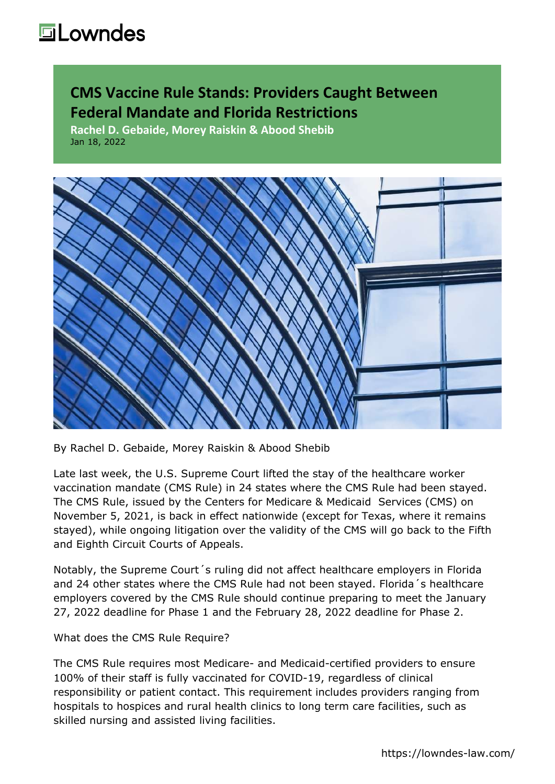#### **CMS Vaccine Rule Stands: Providers Caught Between Federal Mandate and Florida Restrictions**

**Rachel D. Gebaide, Morey Raiskin & Abood Shebib** Jan 18, 2022



By Rachel D. Gebaide, Morey Raiskin & Abood Shebib

Late last week, the U.S. Supreme Court [lifted the stay](https://lowndes-law.com/article-detail/post_detail/supreme-court-blocks-osha-vaccinate-or-test-rule-allows-healthcare-worker-mandate) of the healthcare worker vaccination mandate (CMS Rule) in 24 states where the CMS Rule had been stayed. The [CMS Rule](https://www.federalregister.gov/d/2021-23831), issued by the Centers for Medicare & Medicaid Services (CMS) on November 5, 2021, is back in effect nationwide (except for Texas, where it remains stayed), while ongoing litigation over the validity of the CMS will go back to the Fifth and Eighth Circuit Courts of Appeals.

Notably, the Supreme Court´s ruling did not affect healthcare employers in Florida and 24 other states where the CMS Rule had not been stayed. Florida´s healthcare employers covered by the CMS Rule should continue preparing to meet the January 27, 2022 deadline for Phase 1 and the February 28, 2022 deadline for Phase 2.

#### What does the CMS Rule Require?

The CMS Rule requires most Medicare- and Medicaid-certified providers to ensure 100% of their staff is fully vaccinated for COVID-19, regardless of clinical responsibility or patient contact. This requirement includes providers ranging from hospitals to hospices and rural health clinics to long term care facilities, such as skilled nursing and assisted living facilities.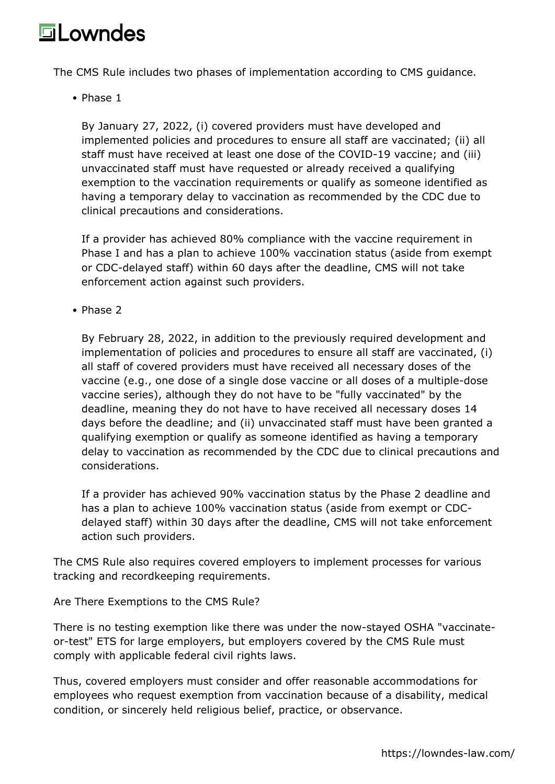The CMS Rule includes two phases of implementation according to [CMS guidance](https://www.cms.gov/files/document/qso-22-07-all.pdf).

• Phase 1

By January 27, 2022, (i) covered providers must have developed and implemented policies and procedures to ensure all staff are vaccinated; (ii) all staff must have received at least one dose of the COVID-19 vaccine; and (iii) unvaccinated staff must have requested or already received a qualifying exemption to the vaccination requirements or qualify as someone identified as having a temporary delay to vaccination as recommended by the CDC due to clinical precautions and considerations.

If a provider has achieved 80% compliance with the vaccine requirement in Phase I and has a plan to achieve 100% vaccination status (aside from exempt or CDC-delayed staff) within 60 days after the deadline, CMS will not take enforcement action against such providers.

• Phase 2

By February 28, 2022, in addition to the previously required development and implementation of policies and procedures to ensure all staff are vaccinated, (i) all staff of covered providers must have received all necessary doses of the vaccine (e.g., one dose of a single dose vaccine or all doses of a multiple-dose vaccine series), although they do not have to be "fully vaccinated" by the deadline, meaning they do not have to have received all necessary doses 14 days before the deadline; and (ii) unvaccinated staff must have been granted a qualifying exemption or qualify as someone identified as having a temporary delay to vaccination as recommended by the CDC due to clinical precautions and considerations.

If a provider has achieved 90% vaccination status by the Phase 2 deadline and has a plan to achieve 100% vaccination status (aside from exempt or CDCdelayed staff) within 30 days after the deadline, CMS will not take enforcement action such providers.

The CMS Rule also requires covered employers to implement processes for various tracking and recordkeeping requirements.

Are There Exemptions to the CMS Rule?

There is no testing exemption like there was under the now-stayed OSHA "vaccinateor-test" ETS for large employers, but employers covered by the CMS Rule must comply with applicable federal civil rights laws.

Thus, covered employers must consider and offer reasonable accommodations for employees who request exemption from vaccination because of a disability, medical condition, or sincerely held religious belief, practice, or observance.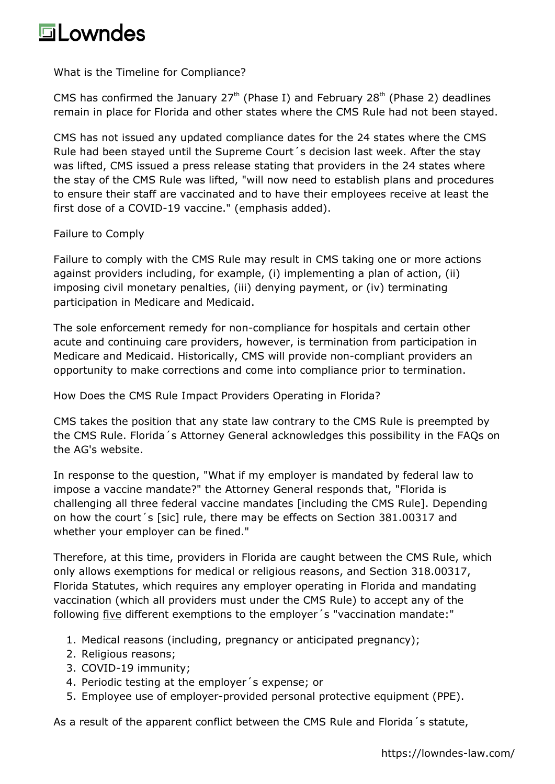What is the Timeline for Compliance?

CMS has confirmed the January  $27<sup>th</sup>$  (Phase I) and February  $28<sup>th</sup>$  (Phase 2) deadlines remain in place for Florida and other states where the CMS Rule had not been stayed.

CMS has not issued any updated compliance dates for the 24 states where the CMS Rule had been stayed until the Supreme Court´s decision last week. After the stay was lifted, CMS issued a [press release](https://www.cms.gov/newsroom/press-releases/statement-cms-administrator-chiquita-brooks-lasure-us-supreme-courts-decision-vaccine-requirements) stating that providers in the 24 states where the stay of the CMS Rule was lifted, "will now need to establish plans and procedures to ensure their staff are vaccinated and to have their employees receive at least the first dose of a COVID-19 vaccine." (emphasis added).

Failure to Comply

Failure to comply with the CMS Rule may result in CMS taking one or more actions against providers including, for example, (i) implementing a plan of action, (ii) imposing civil monetary penalties, (iii) denying payment, or (iv) terminating participation in Medicare and Medicaid.

The sole enforcement remedy for non-compliance for hospitals and certain other acute and continuing care providers, however, is termination from participation in Medicare and Medicaid. Historically, CMS will provide non-compliant providers an opportunity to make corrections and come into compliance prior to termination.

How Does the CMS Rule Impact Providers Operating in Florida?

CMS takes the position that any state law contrary to the CMS Rule is preempted by the CMS Rule. Florida´s Attorney General acknowledges this possibility in the [FAQs](http://myfloridalegal.com/pages.nsf/Main/54BAC0302A3B56D88525879F0061BC86) on the AG's website.

In response to the question, "What if my employer is mandated by federal law to impose a vaccine mandate?" the Attorney General responds that, "Florida is challenging all three federal vaccine mandates [including the CMS Rule]. Depending on how the court´s [sic] rule, there may be effects on Section 381.00317 and whether your employer can be fined."

Therefore, at this time, providers in Florida are caught between the CMS Rule, which only allows exemptions for medical or religious reasons, and Section 318.00317, Florida Statutes, which requires any employer operating in Florida and mandating vaccination (which all providers must under the CMS Rule) to accept any of the following five different exemptions to the employer´s "vaccination mandate:"

- 1. Medical reasons (including, pregnancy or anticipated pregnancy);
- 2. Religious reasons;
- 3. COVID-19 immunity;
- 4. Periodic testing at the employer´s expense; or
- 5. Employee use of employer-provided personal protective equipment (PPE).

As a result of the apparent conflict between the CMS Rule and Florida´s statute,